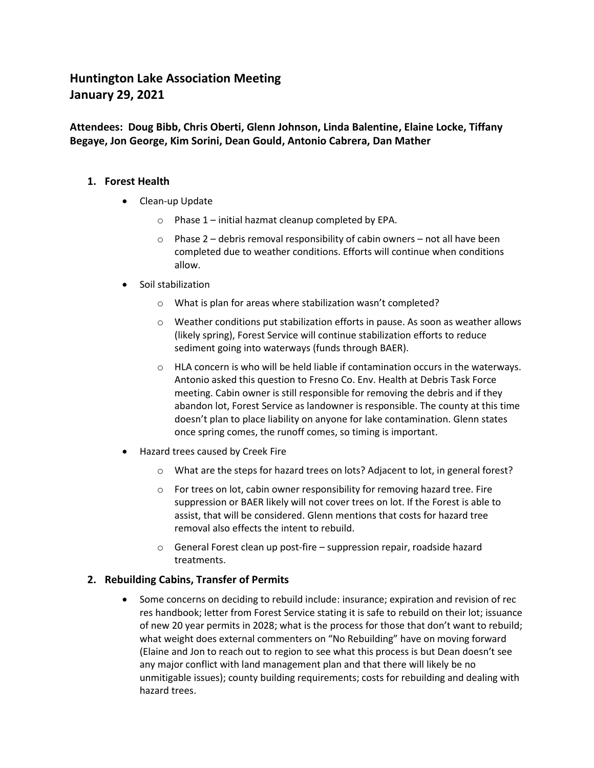# **Huntington Lake Association Meeting January 29, 2021**

**Attendees: Doug Bibb, Chris Oberti, Glenn Johnson, Linda Balentine, Elaine Locke, Tiffany Begaye, Jon George, Kim Sorini, Dean Gould, Antonio Cabrera, Dan Mather**

### **1. Forest Health**

- Clean-up Update
	- $\circ$  Phase 1 initial hazmat cleanup completed by EPA.
	- $\circ$  Phase 2 debris removal responsibility of cabin owners not all have been completed due to weather conditions. Efforts will continue when conditions allow.
- Soil stabilization
	- o What is plan for areas where stabilization wasn't completed?
	- o Weather conditions put stabilization efforts in pause. As soon as weather allows (likely spring), Forest Service will continue stabilization efforts to reduce sediment going into waterways (funds through BAER).
	- o HLA concern is who will be held liable if contamination occurs in the waterways. Antonio asked this question to Fresno Co. Env. Health at Debris Task Force meeting. Cabin owner is still responsible for removing the debris and if they abandon lot, Forest Service as landowner is responsible. The county at this time doesn't plan to place liability on anyone for lake contamination. Glenn states once spring comes, the runoff comes, so timing is important.
- Hazard trees caused by Creek Fire
	- o What are the steps for hazard trees on lots? Adjacent to lot, in general forest?
	- $\circ$  For trees on lot, cabin owner responsibility for removing hazard tree. Fire suppression or BAER likely will not cover trees on lot. If the Forest is able to assist, that will be considered. Glenn mentions that costs for hazard tree removal also effects the intent to rebuild.
	- $\circ$  General Forest clean up post-fire suppression repair, roadside hazard treatments.

### **2. Rebuilding Cabins, Transfer of Permits**

• Some concerns on deciding to rebuild include: insurance; expiration and revision of rec res handbook; letter from Forest Service stating it is safe to rebuild on their lot; issuance of new 20 year permits in 2028; what is the process for those that don't want to rebuild; what weight does external commenters on "No Rebuilding" have on moving forward (Elaine and Jon to reach out to region to see what this process is but Dean doesn't see any major conflict with land management plan and that there will likely be no unmitigable issues); county building requirements; costs for rebuilding and dealing with hazard trees.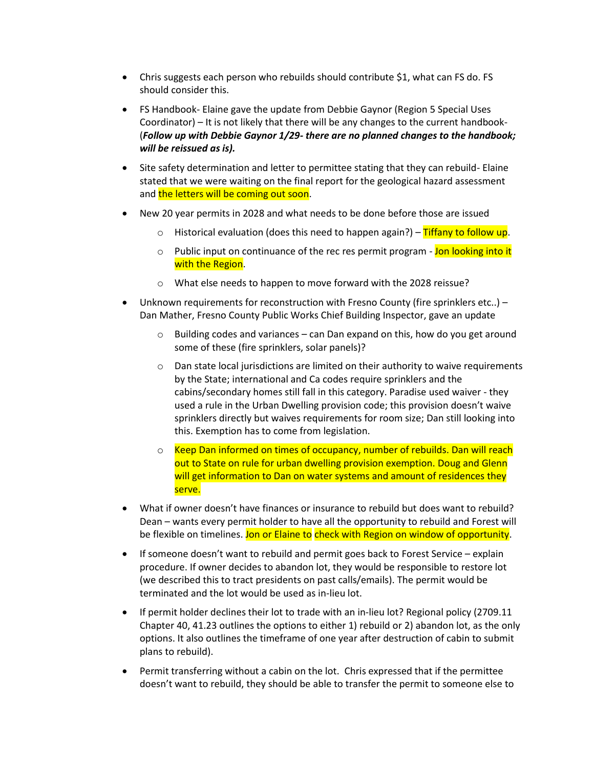- Chris suggests each person who rebuilds should contribute \$1, what can FS do. FS should consider this.
- FS Handbook- Elaine gave the update from Debbie Gaynor (Region 5 Special Uses Coordinator) – It is not likely that there will be any changes to the current handbook- (*Follow up with Debbie Gaynor 1/29- there are no planned changes to the handbook; will be reissued as is).*
- Site safety determination and letter to permittee stating that they can rebuild- Elaine stated that we were waiting on the final report for the geological hazard assessment and the letters will be coming out soon.
- New 20 year permits in 2028 and what needs to be done before those are issued
	- $\circ$  Historical evaluation (does this need to happen again?) Tiffany to follow up.
	- o Public input on continuance of the rec res permit program Jon looking into it with the Region.
	- o What else needs to happen to move forward with the 2028 reissue?
- Unknown requirements for reconstruction with Fresno County (fire sprinklers etc..) Dan Mather, Fresno County Public Works Chief Building Inspector, gave an update
	- $\circ$  Building codes and variances can Dan expand on this, how do you get around some of these (fire sprinklers, solar panels)?
	- $\circ$  Dan state local jurisdictions are limited on their authority to waive requirements by the State; international and Ca codes require sprinklers and the cabins/secondary homes still fall in this category. Paradise used waiver - they used a rule in the Urban Dwelling provision code; this provision doesn't waive sprinklers directly but waives requirements for room size; Dan still looking into this. Exemption has to come from legislation.
	- o Keep Dan informed on times of occupancy, number of rebuilds. Dan will reach out to State on rule for urban dwelling provision exemption. Doug and Glenn will get information to Dan on water systems and amount of residences they serve.
- What if owner doesn't have finances or insurance to rebuild but does want to rebuild? Dean – wants every permit holder to have all the opportunity to rebuild and Forest will be flexible on timelines. Jon or Elaine to check with Region on window of opportunity.
- If someone doesn't want to rebuild and permit goes back to Forest Service explain procedure. If owner decides to abandon lot, they would be responsible to restore lot (we described this to tract presidents on past calls/emails). The permit would be terminated and the lot would be used as in-lieu lot.
- If permit holder declines their lot to trade with an in-lieu lot? Regional policy (2709.11 Chapter 40, 41.23 outlines the options to either 1) rebuild or 2) abandon lot, as the only options. It also outlines the timeframe of one year after destruction of cabin to submit plans to rebuild).
- Permit transferring without a cabin on the lot. Chris expressed that if the permittee doesn't want to rebuild, they should be able to transfer the permit to someone else to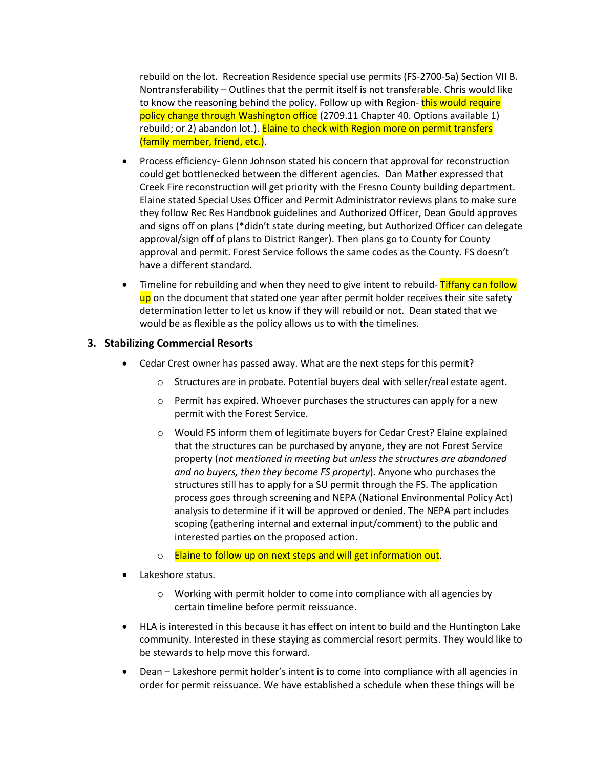rebuild on the lot. Recreation Residence special use permits (FS-2700-5a) Section VII B. Nontransferability – Outlines that the permit itself is not transferable. Chris would like to know the reasoning behind the policy. Follow up with Region-this would require policy change through Washington office (2709.11 Chapter 40. Options available 1) rebuild; or 2) abandon lot.). Elaine to check with Region more on permit transfers (family member, friend, etc.).

- Process efficiency- Glenn Johnson stated his concern that approval for reconstruction could get bottlenecked between the different agencies. Dan Mather expressed that Creek Fire reconstruction will get priority with the Fresno County building department. Elaine stated Special Uses Officer and Permit Administrator reviews plans to make sure they follow Rec Res Handbook guidelines and Authorized Officer, Dean Gould approves and signs off on plans (\*didn't state during meeting, but Authorized Officer can delegate approval/sign off of plans to District Ranger). Then plans go to County for County approval and permit. Forest Service follows the same codes as the County. FS doesn't have a different standard.
- Timeline for rebuilding and when they need to give intent to rebuild-Tiffany can follow up on the document that stated one year after permit holder receives their site safety determination letter to let us know if they will rebuild or not. Dean stated that we would be as flexible as the policy allows us to with the timelines.

### **3. Stabilizing Commercial Resorts**

- Cedar Crest owner has passed away. What are the next steps for this permit?
	- o Structures are in probate. Potential buyers deal with seller/real estate agent.
	- $\circ$  Permit has expired. Whoever purchases the structures can apply for a new permit with the Forest Service.
	- o Would FS inform them of legitimate buyers for Cedar Crest? Elaine explained that the structures can be purchased by anyone, they are not Forest Service property (*not mentioned in meeting but unless the structures are abandoned and no buyers, then they become FS property*). Anyone who purchases the structures still has to apply for a SU permit through the FS. The application process goes through screening and NEPA (National Environmental Policy Act) analysis to determine if it will be approved or denied. The NEPA part includes scoping (gathering internal and external input/comment) to the public and interested parties on the proposed action.
	- o Elaine to follow up on next steps and will get information out.
- Lakeshore status.
	- $\circ$  Working with permit holder to come into compliance with all agencies by certain timeline before permit reissuance.
- HLA is interested in this because it has effect on intent to build and the Huntington Lake community. Interested in these staying as commercial resort permits. They would like to be stewards to help move this forward.
- Dean Lakeshore permit holder's intent is to come into compliance with all agencies in order for permit reissuance. We have established a schedule when these things will be